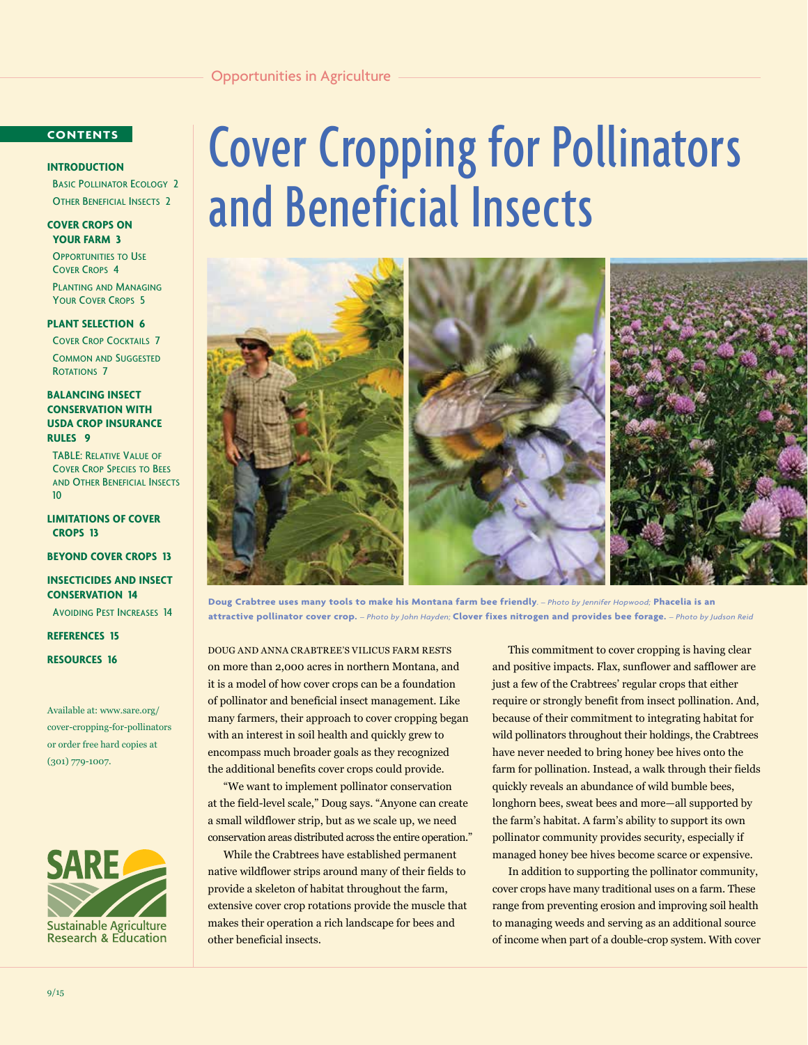# **CONTENTS**

# **INTRODUCTION**

 Basic Pollinator Ecology 2 Other Beneficial Insects 2

**COVER CROPS ON YOUR FARM 3**

**OPPORTUNITIES TO USE** Cover Crops 4

 Planting and Managing Your Cover Crops 5

#### **PLANT SELECTION 6**

Cover Crop Cocktails 7

 Common and Suggested ROTATIONS 7

**BALANCING INSECT CONSERVATION WITH USDA CROP INSURANCE RULES 9** 

 TABLE: Relative Value of Cover Crop Species to Bees and Other Beneficial Insects 10

**LIMITATIONS OF COVER CROPS 13**

**BEYOND COVER CROPS 13**

**INSECTICIDES AND INSECT CONSERVATION 14**

Avoiding Pest Increases 14

**REFERENCES 15**

**RESOURCES 16**

Available at: [www.sare.org/](http://www.sare.org/cover-cropping-for-pollinators) [cover](http://www.sare.org/cover-cropping-for-pollinators)-cropping-for-pollinators or order free hard copies at (301) 779-1007.



# Cover Cropping for Pollinators and Beneficial Insects



**Doug Crabtree uses many tools to make his Montana farm bee friendly***. – Photo by Jennifer Hopwood;* **Phacelia is an attractive pollinator cover crop.** *– Photo by John Hayden;* **Clover fixes nitrogen and provides bee forage.** *– Photo by Judson Reid*

DOUG AND ANNA CRABTREE'S VILICUS FARM RESTS on more than 2,000 acres in northern Montana, and it is a model of how cover crops can be a foundation of pollinator and beneficial insect management. Like many farmers, their approach to cover cropping began with an interest in soil health and quickly grew to encompass much broader goals as they recognized the additional benefits cover crops could provide.

"We want to implement pollinator conservation at the field-level scale," Doug says. "Anyone can create a small wildflower strip, but as we scale up, we need conservation areas distributed across the entire operation."

While the Crabtrees have established permanent native wildflower strips around many of their fields to provide a skeleton of habitat throughout the farm, extensive cover crop rotations provide the muscle that makes their operation a rich landscape for bees and other beneficial insects.

This commitment to cover cropping is having clear and positive impacts. Flax, sunflower and safflower are just a few of the Crabtrees' regular crops that either require or strongly benefit from insect pollination. And, because of their commitment to integrating habitat for wild pollinators throughout their holdings, the Crabtrees have never needed to bring honey bee hives onto the farm for pollination. Instead, a walk through their fields quickly reveals an abundance of wild bumble bees, longhorn bees, sweat bees and more—all supported by the farm's habitat. A farm's ability to support its own pollinator community provides security, especially if managed honey bee hives become scarce or expensive.

In addition to supporting the pollinator community, cover crops have many traditional uses on a farm. These range from preventing erosion and improving soil health to managing weeds and serving as an additional source of income when part of a double-crop system. With cover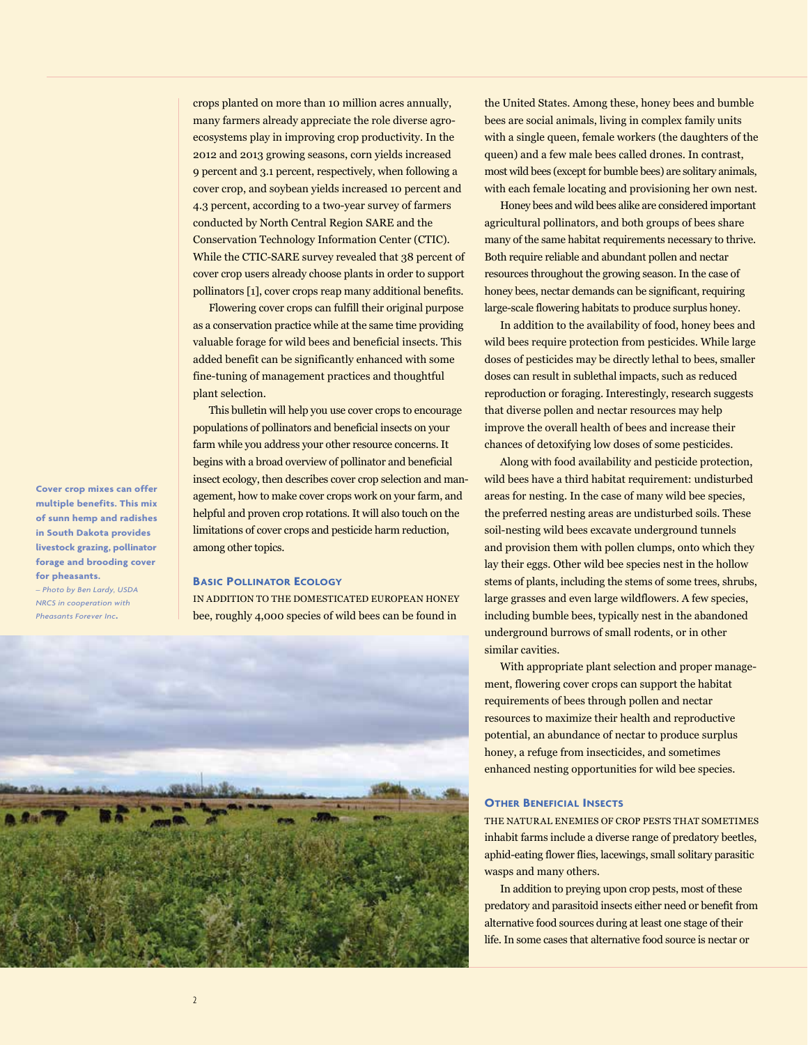crops planted on more than 10 million acres annually, many farmers already appreciate the role diverse agroecosystems play in improving crop productivity. In the 2012 and 2013 growing seasons, corn yields increased 9 percent and 3.1 percent, respectively, when following a cover crop, and soybean yields increased 10 percent and 4.3 percent, according to a two-year survey of farmers conducted by North Central Region SARE and the Conservation Technology Information Center (CTIC). While the CTIC-SARE survey revealed that 38 percent of cover crop users already choose plants in order to support pollinators [1], cover crops reap many additional benefits.

Flowering cover crops can fulfill their original purpose as a conservation practice while at the same time providing valuable forage for wild bees and beneficial insects. This added benefit can be significantly enhanced with some fine-tuning of management practices and thoughtful plant selection.

This bulletin will help you use cover crops to encourage populations of pollinators and beneficial insects on your farm while you address your other resource concerns. It begins with a broad overview of pollinator and beneficial insect ecology, then describes cover crop selection and management, how to make cover crops work on your farm, and helpful and proven crop rotations. It will also touch on the limitations of cover crops and pesticide harm reduction, among other topics.

# **Basic Pollinator Ecology**

IN ADDITION TO THE DOMESTICATED EUROPEAN HONEY bee, roughly 4,000 species of wild bees can be found in



the United States. Among these, honey bees and bumble bees are social animals, living in complex family units with a single queen, female workers (the daughters of the queen) and a few male bees called drones. In contrast, most wild bees (except for bumble bees) are solitary animals, with each female locating and provisioning her own nest.

Honey bees and wild bees alike are considered important agricultural pollinators, and both groups of bees share many of the same habitat requirements necessary to thrive. Both require reliable and abundant pollen and nectar resources throughout the growing season. In the case of honey bees, nectar demands can be significant, requiring large-scale flowering habitats to produce surplus honey.

In addition to the availability of food, honey bees and wild bees require protection from pesticides. While large doses of pesticides may be directly lethal to bees, smaller doses can result in sublethal impacts, such as reduced reproduction or foraging. Interestingly, research suggests that diverse pollen and nectar resources may help improve the overall health of bees and increase their chances of detoxifying low doses of some pesticides.

Along with food availability and pesticide protection, wild bees have a third habitat requirement: undisturbed areas for nesting. In the case of many wild bee species, the preferred nesting areas are undisturbed soils. These soil-nesting wild bees excavate underground tunnels and provision them with pollen clumps, onto which they lay their eggs. Other wild bee species nest in the hollow stems of plants, including the stems of some trees, shrubs, large grasses and even large wildflowers. A few species, including bumble bees, typically nest in the abandoned underground burrows of small rodents, or in other similar cavities.

With appropriate plant selection and proper management, flowering cover crops can support the habitat requirements of bees through pollen and nectar resources to maximize their health and reproductive potential, an abundance of nectar to produce surplus honey, a refuge from insecticides, and sometimes enhanced nesting opportunities for wild bee species.

# **Other Beneficial Insects**

THE NATURAL ENEMIES OF CROP PESTS THAT SOMETIMES inhabit farms include a diverse range of predatory beetles, aphid-eating flower flies, lacewings, small solitary parasitic wasps and many others.

In addition to preying upon crop pests, most of these predatory and parasitoid insects either need or benefit from alternative food sources during at least one stage of their life. In some cases that alternative food source is nectar or

**Cover crop mixes can offer multiple benefits. This mix of sunn hemp and radishes in South Dakota provides livestock grazing, pollinator forage and brooding cover for pheasants.**  *– Photo by Ben Lardy, USDA* 

*NRCS in cooperation with Pheasants Forever Inc***.**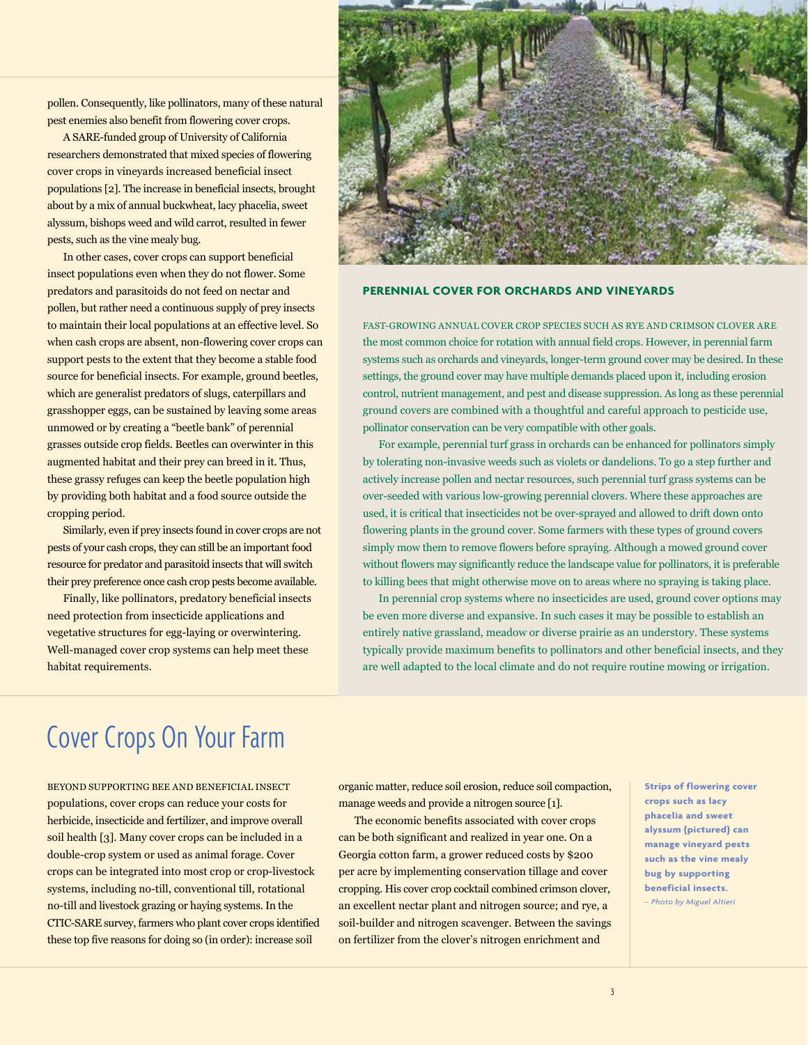pollen. Consequently, like pollinators, many of these natural pest enemies also benefit from flowering cover crops.

A SARE-funded group of University of California researchers demonstrated that mixed species of flowering cover crops in vineyards increased beneficial insect populations [2]. The increase in beneficial insects, brought about by a mix of annual buckwheat, lacy phacelia, sweet alyssum, bishops weed and wild carrot, resulted in fewer pests, such as the vine mealy bug.

In other cases, cover crops can support beneficial insect populations even when they do not flower. Some predators and parasitoids do not feed on nectar and pollen, but rather need a continuous supply of prey insects to maintain their local populations at an effective level. So when cash crops are absent, non-flowering cover crops can support pests to the extent that they become a stable food source for beneficial insects. For example, ground beetles, which are generalist predators of slugs, caterpillars and grasshopper eggs, can be sustained by leaving some areas unmowed or by creating a "beetle bank" of perennial grasses outside crop fields. Beetles can overwinter in this augmented habitat and their prey can breed in it. Thus, these grassy refuges can keep the beetle population high by providing both habitat and a food source outside the cropping period.

Similarly, even if prey insects found in cover crops are not pests of your cash crops, they can still be an important food resource for predator and parasitoid insects that will switch their prey preference once cash crop pests become available.

Finally, like pollinators, predatory beneficial insects need protection from insecticide applications and vegetative structures for egg-laying or overwintering. Well-managed cover crop systems can help meet these habitat requirements.



# **PERENNIAL COVER FOR ORCHARDS AND VINEYARDS**

FAST-GROWING ANNUAL COVER CROP SPECIES SUCH AS RYE AND CRIMSON CLOVER ARE the most common choice for rotation with annual field crops. However, in perennial farm systems such as orchards and vineyards, longer-term ground cover may be desired. In these settings, the ground cover may have multiple demands placed upon it, including erosion control, nutrient management, and pest and disease suppression. As long as these perennial ground covers are combined with a thoughtful and careful approach to pesticide use, pollinator conservation can be very compatible with other goals.

For example, perennial turf grass in orchards can be enhanced for pollinators simply by tolerating non-invasive weeds such as violets or dandelions. To go a step further and actively increase pollen and nectar resources, such perennial turf grass systems can be over-seeded with various low-growing perennial clovers. Where these approaches are used, it is critical that insecticides not be over-sprayed and allowed to drift down onto flowering plants in the ground cover. Some farmers with these types of ground covers simply mow them to remove flowers before spraying. Although a mowed ground cover without flowers may significantly reduce the landscape value for pollinators, it is preferable to killing bees that might otherwise move on to areas where no spraying is taking place.

In perennial crop systems where no insecticides are used, ground cover options may be even more diverse and expansive. In such cases it may be possible to establish an entirely native grassland, meadow or diverse prairie as an understory. These systems typically provide maximum benefits to pollinators and other beneficial insects, and they are well adapted to the local climate and do not require routine mowing or irrigation.

# Cover Crops On Your Farm

BEYOND SUPPORTING BEE AND BENEFICIAL INSECT populations, cover crops can reduce your costs for herbicide, insecticide and fertilizer, and improve overall soil health [3]. Many cover crops can be included in a double-crop system or used as animal forage. Cover crops can be integrated into most crop or crop-livestock systems, including no-till, conventional till, rotational no-till and livestock grazing or haying systems. In the CTIC-SARE survey, farmers who plant cover crops identified these top five reasons for doing so (in order): increase soil

organic matter, reduce soil erosion, reduce soil compaction, manage weeds and provide a nitrogen source [1].

The economic benefits associated with cover crops can be both significant and realized in year one. On a Georgia cotton farm, a grower reduced costs by \$200 per acre by implementing conservation tillage and cover cropping. His cover crop cocktail combined crimson clover, an excellent nectar plant and nitrogen source; and rye, a soil-builder and nitrogen scavenger. Between the savings on fertilizer from the clover's nitrogen enrichment and

**Strips of flowering cover crops such as lacy phacelia and sweet alyssum (pictured) can manage vineyard pests such as the vine mealy bug by supporting beneficial insects.** *– Photo by Miguel Altieri*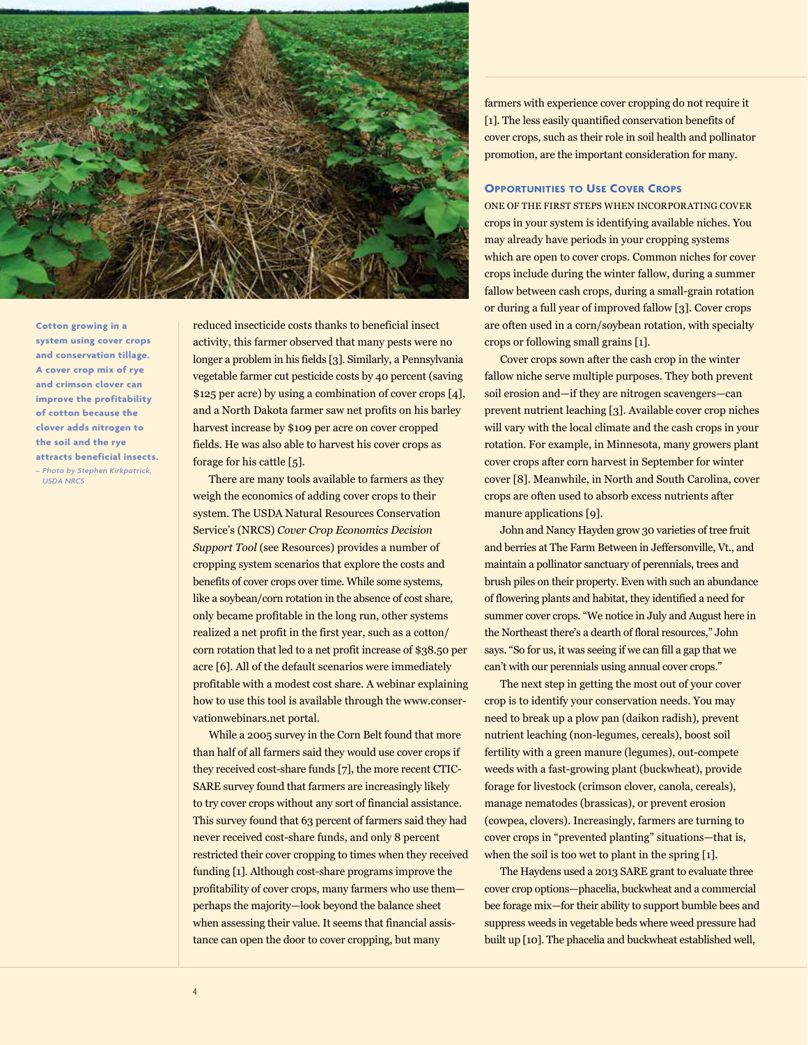

**Cotton growing in a system using cover crops and conservation tillage. A cover crop mix of rye and crimson clover can improve the profitability of cotton because the clover adds nitrogen to the soil and the rye attracts beneficial insects.** *– Photo by Stephen Kirkpatrick, USDA NRCS*

reduced insecticide costs thanks to beneficial insect activity, this farmer observed that many pests were no longer a problem in his fields [3]. Similarly, a Pennsylvania vegetable farmer cut pesticide costs by 40 percent (saving \$125 per acre) by using a combination of cover crops [4], and a North Dakota farmer saw net profits on his barley harvest increase by \$109 per acre on cover cropped fields. He was also able to harvest his cover crops as forage for his cattle [5].

There are many tools available to farmers as they weigh the economics of adding cover crops to their system. The USDA Natural Resources Conservation Service's (NRCS) *Cover Crop Economics Decision Support Tool* (see Resources) provides a number of cropping system scenarios that explore the costs and benefits of cover crops over time. While some systems, like a soybean/corn rotation in the absence of cost share, only became profitable in the long run, other systems realized a net profit in the first year, such as a cotton/ corn rotation that led to a net profit increase of \$38.50 per acre [6]. All of the default scenarios were immediately profitable with a modest cost share. A webinar explaining how to use this tool is available through the [www.conser](www.conservationwebinars.net)[vationwebinars.net](www.conservationwebinars.net) portal.

While a 2005 survey in the Corn Belt found that more than half of all farmers said they would use cover crops if they received cost-share funds [7], the more recent CTIC-SARE survey found that farmers are increasingly likely to try cover crops without any sort of financial assistance. This survey found that 63 percent of farmers said they had never received cost-share funds, and only 8 percent restricted their cover cropping to times when they received funding [1]. Although cost-share programs improve the profitability of cover crops, many farmers who use them perhaps the majority—look beyond the balance sheet when assessing their value. It seems that financial assistance can open the door to cover cropping, but many

farmers with experience cover cropping do not require it [1]. The less easily quantified conservation benefits of cover crops, such as their role in soil health and pollinator promotion, are the important consideration for many.

### **Opportunities to Use Cover Crops**

ONE OF THE FIRST STEPS WHEN INCORPORATING COVER crops in your system is identifying available niches. You may already have periods in your cropping systems which are open to cover crops. Common niches for cover crops include during the winter fallow, during a summer fallow between cash crops, during a small-grain rotation or during a full year of improved fallow [3]. Cover crops are often used in a corn/soybean rotation, with specialty crops or following small grains [1].

Cover crops sown after the cash crop in the winter fallow niche serve multiple purposes. They both prevent soil erosion and—if they are nitrogen scavengers—can prevent nutrient leaching [3]. Available cover crop niches will vary with the local climate and the cash crops in your rotation. For example, in Minnesota, many growers plant cover crops after corn harvest in September for winter cover [8]. Meanwhile, in North and South Carolina, cover crops are often used to absorb excess nutrients after manure applications [9].

John and Nancy Hayden grow 30 varieties of tree fruit and berries at The Farm Between in Jeffersonville, Vt., and maintain a pollinator sanctuary of perennials, trees and brush piles on their property. Even with such an abundance of flowering plants and habitat, they identified a need for summer cover crops. "We notice in July and August here in the Northeast there's a dearth of floral resources," John says. "So for us, it was seeing if we can fill a gap that we can't with our perennials using annual cover crops."

The next step in getting the most out of your cover crop is to identify your conservation needs. You may need to break up a plow pan (daikon radish), prevent nutrient leaching (non-legumes, cereals), boost soil fertility with a green manure (legumes), out-compete weeds with a fast-growing plant (buckwheat), provide forage for livestock (crimson clover, canola, cereals), manage nematodes (brassicas), or prevent erosion (cowpea, clovers). Increasingly, farmers are turning to cover crops in "prevented planting" situations—that is, when the soil is too wet to plant in the spring [1].

The Haydens used a 2013 SARE grant to evaluate three cover crop options—phacelia, buckwheat and a commercial bee forage mix—for their ability to support bumble bees and suppress weeds in vegetable beds where weed pressure had built up [10]. The phacelia and buckwheat established well,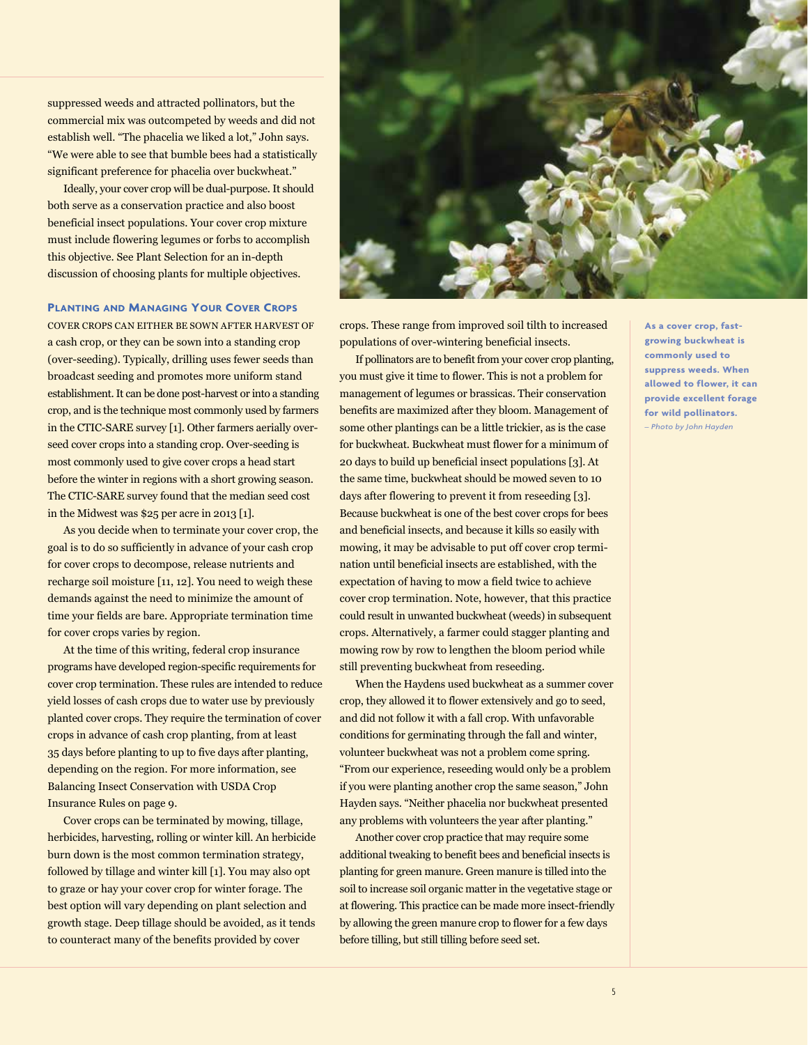suppressed weeds and attracted pollinators, but the commercial mix was outcompeted by weeds and did not establish well. "The phacelia we liked a lot," John says. "We were able to see that bumble bees had a statistically significant preference for phacelia over buckwheat."

Ideally, your cover crop will be dual-purpose. It should both serve as a conservation practice and also boost beneficial insect populations. Your cover crop mixture must include flowering legumes or forbs to accomplish this objective. See Plant Selection for an in-depth discussion of choosing plants for multiple objectives.

## **Planting and Managing Your Cover Crops**

COVER CROPS CAN EITHER BE SOWN AFTER HARVEST OF a cash crop, or they can be sown into a standing crop (over-seeding). Typically, drilling uses fewer seeds than broadcast seeding and promotes more uniform stand establishment. It can be done post-harvest or into a standing crop, and is the technique most commonly used by farmers in the CTIC-SARE survey [1]. Other farmers aerially overseed cover crops into a standing crop. Over-seeding is most commonly used to give cover crops a head start before the winter in regions with a short growing season. The CTIC-SARE survey found that the median seed cost in the Midwest was \$25 per acre in 2013 [1].

As you decide when to terminate your cover crop, the goal is to do so sufficiently in advance of your cash crop for cover crops to decompose, release nutrients and recharge soil moisture [11, 12]. You need to weigh these demands against the need to minimize the amount of time your fields are bare. Appropriate termination time for cover crops varies by region.

At the time of this writing, federal crop insurance programs have developed region-specific requirements for cover crop termination. These rules are intended to reduce yield losses of cash crops due to water use by previously planted cover crops. They require the termination of cover crops in advance of cash crop planting, from at least 35 days before planting to up to five days after planting, depending on the region. For more information, see Balancing Insect Conservation with USDA Crop Insurance Rules on page 9.

Cover crops can be terminated by mowing, tillage, herbicides, harvesting, rolling or winter kill. An herbicide burn down is the most common termination strategy, followed by tillage and winter kill [1]. You may also opt to graze or hay your cover crop for winter forage. The best option will vary depending on plant selection and growth stage. Deep tillage should be avoided, as it tends to counteract many of the benefits provided by cover



crops. These range from improved soil tilth to increased populations of over-wintering beneficial insects.

If pollinators are to benefit from your cover crop planting, you must give it time to flower. This is not a problem for management of legumes or brassicas. Their conservation benefits are maximized after they bloom. Management of some other plantings can be a little trickier, as is the case for buckwheat. Buckwheat must flower for a minimum of 20 days to build up beneficial insect populations [3]. At the same time, buckwheat should be mowed seven to 10 days after flowering to prevent it from reseeding [3]. Because buckwheat is one of the best cover crops for bees and beneficial insects, and because it kills so easily with mowing, it may be advisable to put off cover crop termination until beneficial insects are established, with the expectation of having to mow a field twice to achieve cover crop termination. Note, however, that this practice could result in unwanted buckwheat (weeds) in subsequent crops. Alternatively, a farmer could stagger planting and mowing row by row to lengthen the bloom period while still preventing buckwheat from reseeding.

When the Haydens used buckwheat as a summer cover crop, they allowed it to flower extensively and go to seed, and did not follow it with a fall crop. With unfavorable conditions for germinating through the fall and winter, volunteer buckwheat was not a problem come spring. "From our experience, reseeding would only be a problem if you were planting another crop the same season," John Hayden says. "Neither phacelia nor buckwheat presented any problems with volunteers the year after planting."

Another cover crop practice that may require some additional tweaking to benefit bees and beneficial insects is planting for green manure. Green manure is tilled into the soil to increase soil organic matter in the vegetative stage or at flowering. This practice can be made more insect-friendly by allowing the green manure crop to flower for a few days before tilling, but still tilling before seed set.

**As a cover crop, fastgrowing buckwheat is commonly used to suppress weeds. When allowed to flower, it can provide excellent forage for wild pollinators.** *– Photo by John Hayden*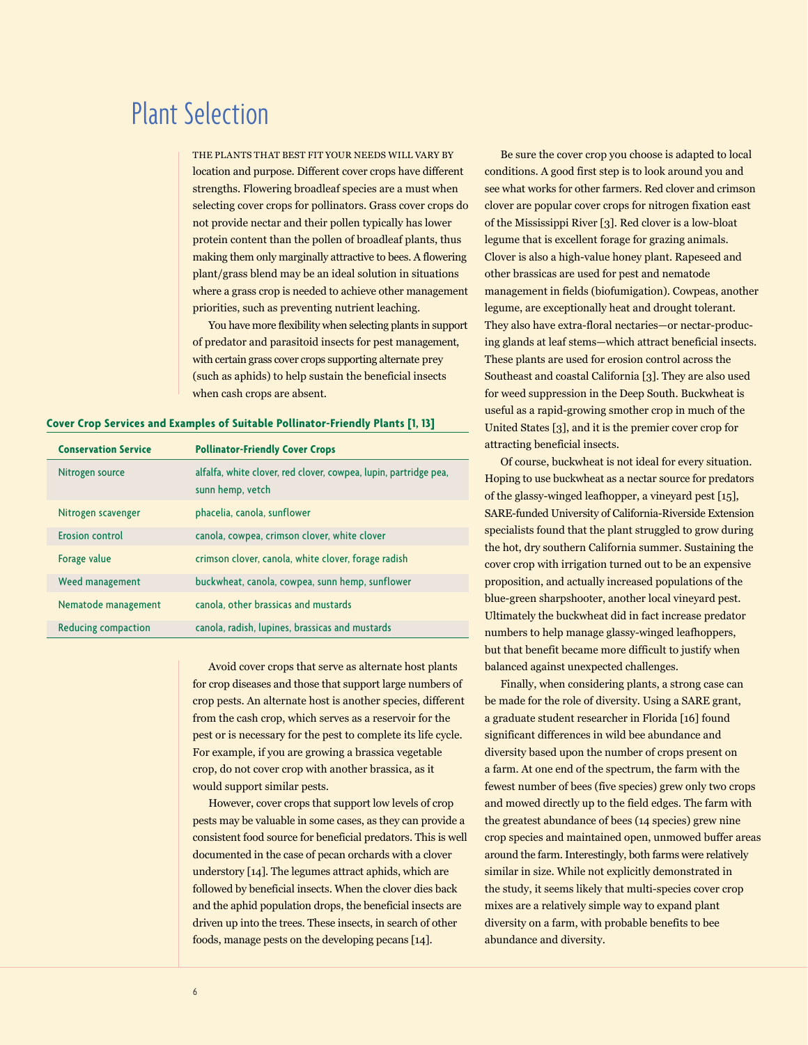# Plant Selection

THE PLANTS THAT BEST FIT YOUR NEEDS WILL VARY BY location and purpose. Different cover crops have different strengths. Flowering broadleaf species are a must when selecting cover crops for pollinators. Grass cover crops do not provide nectar and their pollen typically has lower protein content than the pollen of broadleaf plants, thus making them only marginally attractive to bees. A flowering plant/grass blend may be an ideal solution in situations where a grass crop is needed to achieve other management priorities, such as preventing nutrient leaching.

You have more flexibility when selecting plants in support of predator and parasitoid insects for pest management, with certain grass cover crops supporting alternate prey (such as aphids) to help sustain the beneficial insects when cash crops are absent.

#### **Cover Crop Services and Examples of Suitable Pollinator-Friendly Plants [1, 13]**

| <b>Conservation Service</b> | <b>Pollinator-Friendly Cover Crops</b>                                               |
|-----------------------------|--------------------------------------------------------------------------------------|
| Nitrogen source             | alfalfa, white clover, red clover, cowpea, lupin, partridge pea,<br>sunn hemp, vetch |
| Nitrogen scavenger          | phacelia, canola, sunflower                                                          |
| Erosion control             | canola, cowpea, crimson clover, white clover                                         |
| Forage value                | crimson clover, canola, white clover, forage radish                                  |
| Weed management             | buckwheat, canola, cowpea, sunn hemp, sunflower                                      |
| Nematode management         | canola, other brassicas and mustards                                                 |
| Reducing compaction         | canola, radish, lupines, brassicas and mustards                                      |

Avoid cover crops that serve as alternate host plants for crop diseases and those that support large numbers of crop pests. An alternate host is another species, different from the cash crop, which serves as a reservoir for the pest or is necessary for the pest to complete its life cycle. For example, if you are growing a brassica vegetable crop, do not cover crop with another brassica, as it would support similar pests.

However, cover crops that support low levels of crop pests may be valuable in some cases, as they can provide a consistent food source for beneficial predators. This is well documented in the case of pecan orchards with a clover understory [14]. The legumes attract aphids, which are followed by beneficial insects. When the clover dies back and the aphid population drops, the beneficial insects are driven up into the trees. These insects, in search of other foods, manage pests on the developing pecans [14].

Be sure the cover crop you choose is adapted to local conditions. A good first step is to look around you and see what works for other farmers. Red clover and crimson clover are popular cover crops for nitrogen fixation east of the Mississippi River [3]. Red clover is a low-bloat legume that is excellent forage for grazing animals. Clover is also a high-value honey plant. Rapeseed and other brassicas are used for pest and nematode management in fields (biofumigation). Cowpeas, another legume, are exceptionally heat and drought tolerant. They also have extra-floral nectaries—or nectar-producing glands at leaf stems—which attract beneficial insects. These plants are used for erosion control across the Southeast and coastal California [3]. They are also used for weed suppression in the Deep South. Buckwheat is useful as a rapid-growing smother crop in much of the United States [3], and it is the premier cover crop for attracting beneficial insects.

Of course, buckwheat is not ideal for every situation. Hoping to use buckwheat as a nectar source for predators of the glassy-winged leafhopper, a vineyard pest [15], SARE-funded University of California-Riverside Extension specialists found that the plant struggled to grow during the hot, dry southern California summer. Sustaining the cover crop with irrigation turned out to be an expensive proposition, and actually increased populations of the blue-green sharpshooter, another local vineyard pest. Ultimately the buckwheat did in fact increase predator numbers to help manage glassy-winged leafhoppers, but that benefit became more difficult to justify when balanced against unexpected challenges.

Finally, when considering plants, a strong case can be made for the role of diversity. Using a SARE grant, a graduate student researcher in Florida [16] found significant differences in wild bee abundance and diversity based upon the number of crops present on a farm. At one end of the spectrum, the farm with the fewest number of bees (five species) grew only two crops and mowed directly up to the field edges. The farm with the greatest abundance of bees (14 species) grew nine crop species and maintained open, unmowed buffer areas around the farm. Interestingly, both farms were relatively similar in size. While not explicitly demonstrated in the study, it seems likely that multi-species cover crop mixes are a relatively simple way to expand plant diversity on a farm, with probable benefits to bee abundance and diversity.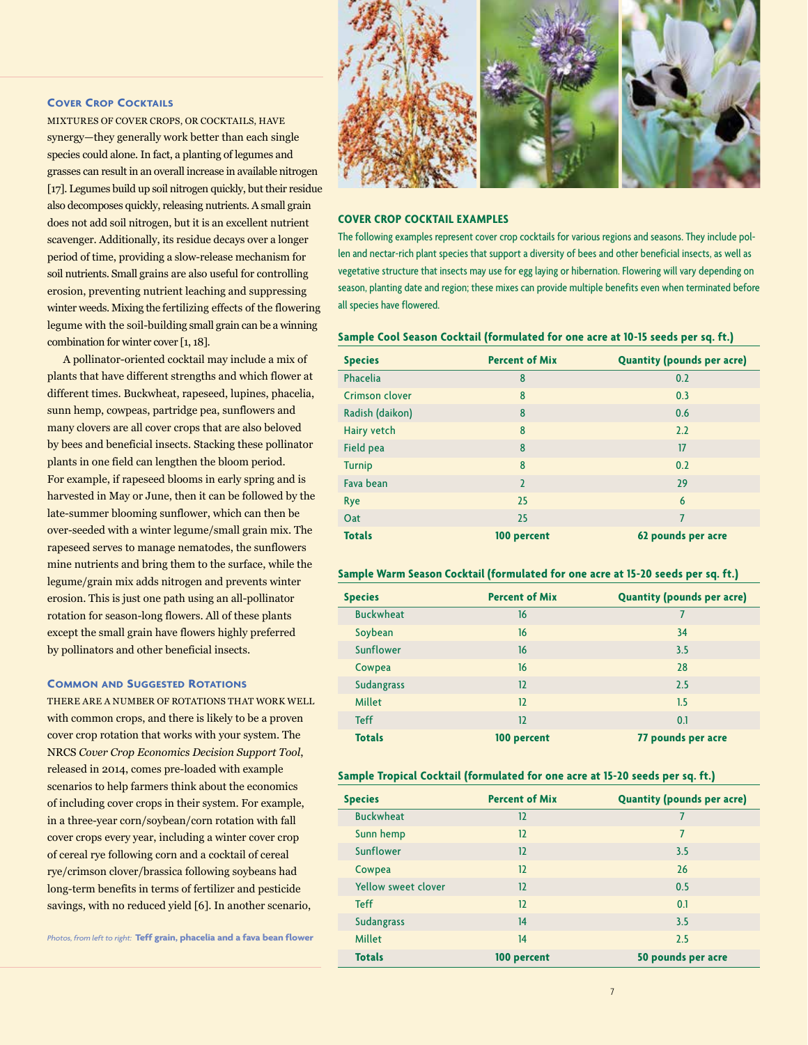# **Cover Crop Cocktails**

MIXTURES OF COVER CROPS, OR COCKTAILS, HAVE synergy—they generally work better than each single species could alone. In fact, a planting of legumes and grasses can result in an overall increase in available nitrogen [17]. Legumes build up soil nitrogen quickly, but their residue also decomposes quickly, releasing nutrients. A small grain does not add soil nitrogen, but it is an excellent nutrient scavenger. Additionally, its residue decays over a longer period of time, providing a slow-release mechanism for soil nutrients. Small grains are also useful for controlling erosion, preventing nutrient leaching and suppressing winter weeds. Mixing the fertilizing effects of the flowering legume with the soil-building small grain can be a winning combination for winter cover [1, 18].

A pollinator-oriented cocktail may include a mix of plants that have different strengths and which flower at different times. Buckwheat, rapeseed, lupines, phacelia, sunn hemp, cowpeas, partridge pea, sunflowers and many clovers are all cover crops that are also beloved by bees and beneficial insects. Stacking these pollinator plants in one field can lengthen the bloom period. For example, if rapeseed blooms in early spring and is harvested in May or June, then it can be followed by the late-summer blooming sunflower, which can then be over-seeded with a winter legume/small grain mix. The rapeseed serves to manage nematodes, the sunflowers mine nutrients and bring them to the surface, while the legume/grain mix adds nitrogen and prevents winter erosion. This is just one path using an all-pollinator rotation for season-long flowers. All of these plants except the small grain have flowers highly preferred by pollinators and other beneficial insects.

# **Common and Suggested Rotations**

THERE ARE A NUMBER OF ROTATIONS THAT WORK WELL with common crops, and there is likely to be a proven cover crop rotation that works with your system. The NRCS *Cover Crop Economics Decision Support Tool*, released in 2014, comes pre-loaded with example scenarios to help farmers think about the economics of including cover crops in their system. For example, in a three-year corn/soybean/corn rotation with fall cover crops every year, including a winter cover crop of cereal rye following corn and a cocktail of cereal rye/crimson clover/brassica following soybeans had long-term benefits in terms of fertilizer and pesticide savings, with no reduced yield [6]. In another scenario,

*Photos, from left to right:* **Teff grain, phacelia and a fava bean flower**



### **COVER CROP COCKTAIL EXAMPLES**

The following examples represent cover crop cocktails for various regions and seasons. They include pollen and nectar-rich plant species that support a diversity of bees and other beneficial insects, as well as vegetative structure that insects may use for egg laying or hibernation. Flowering will vary depending on season, planting date and region; these mixes can provide multiple benefits even when terminated before all species have flowered.

#### **Sample Cool Season Cocktail (formulated for one acre at 10-15 seeds per sq. ft.)**

| <b>Species</b>  | <b>Percent of Mix</b>    | <b>Quantity (pounds per acre)</b> |
|-----------------|--------------------------|-----------------------------------|
| Phacelia        | 8                        | 0.2                               |
| Crimson clover  | 8                        | 0.3                               |
| Radish (daikon) | 8                        | 0.6                               |
| Hairy vetch     | 8                        | 2.2                               |
| Field pea       | 8                        | 17                                |
| <b>Turnip</b>   | 8                        | 0.2                               |
| Fava bean       | $\overline{\phantom{0}}$ | 29                                |
| <b>Rye</b>      | 25                       | 6                                 |
| Oat             | 25                       | 7                                 |
| <b>Totals</b>   | 100 percent              | 62 pounds per acre                |

### **Sample Warm Season Cocktail (formulated for one acre at 15-20 seeds per sq. ft.)**

| <b>Species</b>    | <b>Percent of Mix</b> | <b>Quantity (pounds per acre)</b> |
|-------------------|-----------------------|-----------------------------------|
| <b>Buckwheat</b>  | 16                    | 7                                 |
| Soybean           | 16                    | 34                                |
| Sunflower         | 16                    | 3.5                               |
| Cowpea            | 16                    | 28                                |
| <b>Sudangrass</b> | 12                    | 2.5                               |
| <b>Millet</b>     | 12                    | 1.5                               |
| <b>Teff</b>       | 12                    | 0.1                               |
| <b>Totals</b>     | 100 percent           | 77 pounds per acre                |

### **Sample Tropical Cocktail (formulated for one acre at 15-20 seeds per sq. ft.)**

| <b>Species</b>      | <b>Percent of Mix</b> | <b>Quantity (pounds per acre)</b> |
|---------------------|-----------------------|-----------------------------------|
| <b>Buckwheat</b>    | 12                    |                                   |
| Sunn hemp           | 12                    | 7                                 |
| Sunflower           | 12                    | 3.5                               |
| Cowpea              | 12                    | 26                                |
| Yellow sweet clover | 12                    | 0.5                               |
| <b>Teff</b>         | 12                    | 0.1                               |
| <b>Sudangrass</b>   | 14                    | 3.5                               |
| Millet              | 14                    | 2.5                               |
| <b>Totals</b>       | 100 percent           | 50 pounds per acre                |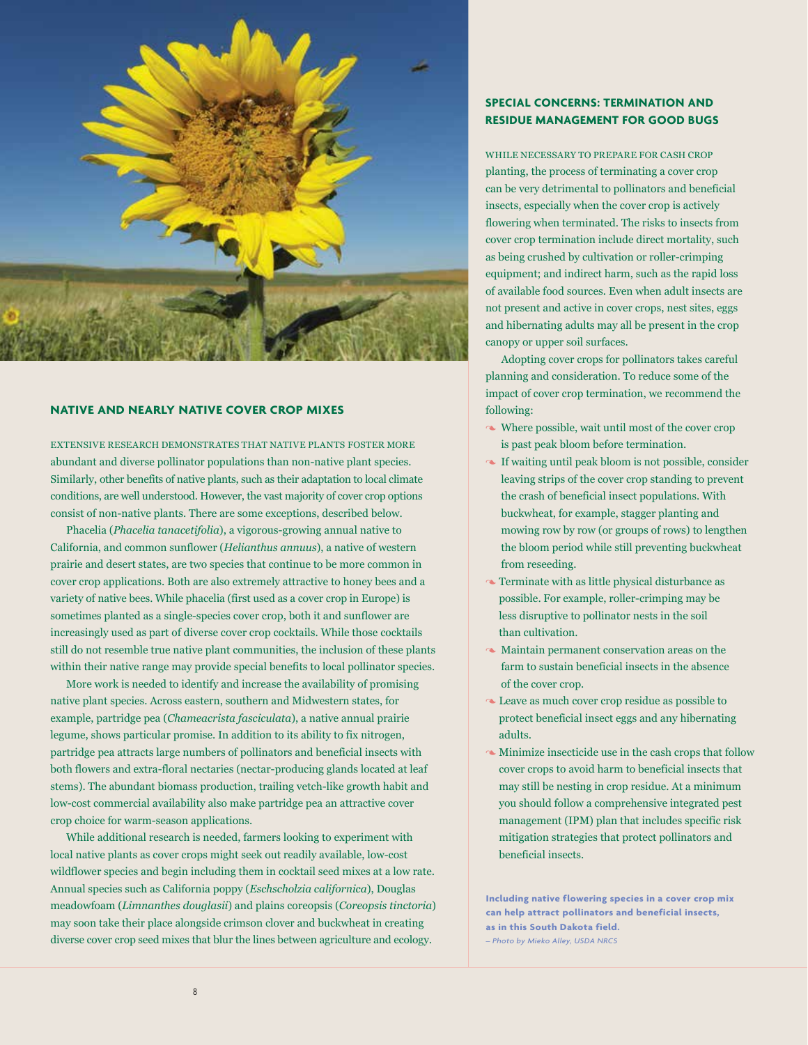

# **NATIVE AND NEARLY NATIVE COVER CROP MIXES**

EXTENSIVE RESEARCH DEMONSTRATES THAT NATIVE PLANTS FOSTER MORE abundant and diverse pollinator populations than non-native plant species. Similarly, other benefits of native plants, such as their adaptation to local climate conditions, are well understood. However, the vast majority of cover crop options consist of non-native plants. There are some exceptions, described below.

Phacelia (*Phacelia tanacetifolia*), a vigorous-growing annual native to California, and common sunflower (*Helianthus annuus*), a native of western prairie and desert states, are two species that continue to be more common in cover crop applications. Both are also extremely attractive to honey bees and a variety of native bees. While phacelia (first used as a cover crop in Europe) is sometimes planted as a single-species cover crop, both it and sunflower are increasingly used as part of diverse cover crop cocktails. While those cocktails still do not resemble true native plant communities, the inclusion of these plants within their native range may provide special benefits to local pollinator species.

More work is needed to identify and increase the availability of promising native plant species. Across eastern, southern and Midwestern states, for example, partridge pea (*Chameacrista fasciculata*), a native annual prairie legume, shows particular promise. In addition to its ability to fix nitrogen, partridge pea attracts large numbers of pollinators and beneficial insects with both flowers and extra-floral nectaries (nectar-producing glands located at leaf stems). The abundant biomass production, trailing vetch-like growth habit and low-cost commercial availability also make partridge pea an attractive cover crop choice for warm-season applications.

While additional research is needed, farmers looking to experiment with local native plants as cover crops might seek out readily available, low-cost wildflower species and begin including them in cocktail seed mixes at a low rate. Annual species such as California poppy (*Eschscholzia californica*), Douglas meadowfoam (*Limnanthes douglasii*) and plains coreopsis (*Coreopsis tinctoria*) may soon take their place alongside crimson clover and buckwheat in creating diverse cover crop seed mixes that blur the lines between agriculture and ecology.

# **SPECIAL CONCERNS: TERMINATION AND RESIDUE MANAGEMENT FOR GOOD BUGS**

WHILE NECESSARY TO PREPARE FOR CASH CROP planting, the process of terminating a cover crop can be very detrimental to pollinators and beneficial insects, especially when the cover crop is actively flowering when terminated. The risks to insects from cover crop termination include direct mortality, such as being crushed by cultivation or roller-crimping equipment; and indirect harm, such as the rapid loss of available food sources. Even when adult insects are not present and active in cover crops, nest sites, eggs and hibernating adults may all be present in the crop canopy or upper soil surfaces.

Adopting cover crops for pollinators takes careful planning and consideration. To reduce some of the impact of cover crop termination, we recommend the following:

- 3 Where possible, wait until most of the cover crop is past peak bloom before termination.
- 3 If waiting until peak bloom is not possible, consider leaving strips of the cover crop standing to prevent the crash of beneficial insect populations. With buckwheat, for example, stagger planting and mowing row by row (or groups of rows) to lengthen the bloom period while still preventing buckwheat from reseeding.
- $\sim$  Terminate with as little physical disturbance as possible. For example, roller-crimping may be less disruptive to pollinator nests in the soil than cultivation.
- $\sim$  Maintain permanent conservation areas on the farm to sustain beneficial insects in the absence of the cover crop.
- Leave as much cover crop residue as possible to protect beneficial insect eggs and any hibernating adults.
- $\sim$  Minimize insecticide use in the cash crops that follow cover crops to avoid harm to beneficial insects that may still be nesting in crop residue. At a minimum you should follow a comprehensive integrated pest management (IPM) plan that includes specific risk mitigation strategies that protect pollinators and beneficial insects.

**Including native flowering species in a cover crop mix can help attract pollinators and beneficial insects, as in this South Dakota field.**

*– Photo by Mieko Alley, USDA NRCS*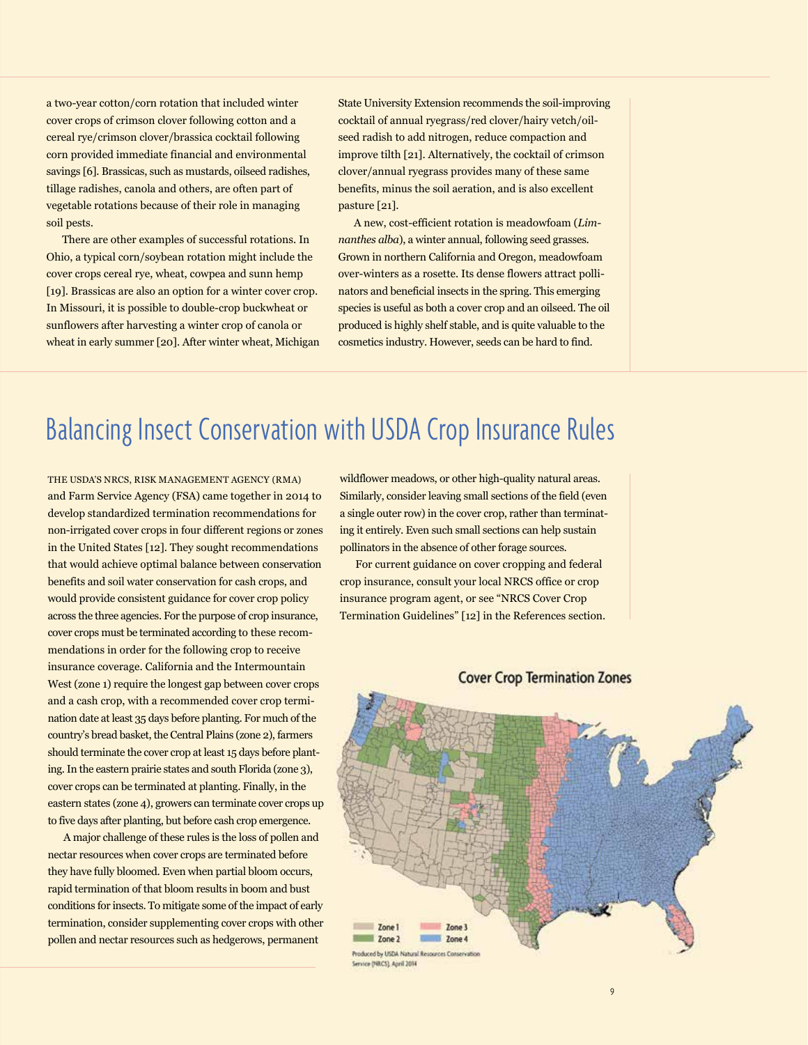a two-year cotton/corn rotation that included winter cover crops of crimson clover following cotton and a cereal rye/crimson clover/brassica cocktail following corn provided immediate financial and environmental savings [6]. Brassicas, such as mustards, oilseed radishes, tillage radishes, canola and others, are often part of vegetable rotations because of their role in managing soil pests.

There are other examples of successful rotations. In Ohio, a typical corn/soybean rotation might include the cover crops cereal rye, wheat, cowpea and sunn hemp [19]. Brassicas are also an option for a winter cover crop. In Missouri, it is possible to double-crop buckwheat or sunflowers after harvesting a winter crop of canola or wheat in early summer [20]. After winter wheat, Michigan State University Extension recommends the soil-improving cocktail of annual ryegrass/red clover/hairy vetch/oilseed radish to add nitrogen, reduce compaction and improve tilth [21]. Alternatively, the cocktail of crimson clover/annual ryegrass provides many of these same benefits, minus the soil aeration, and is also excellent pasture [21].

A new, cost-efficient rotation is meadowfoam (*Limnanthes alba*), a winter annual, following seed grasses. Grown in northern California and Oregon, meadowfoam over-winters as a rosette. Its dense flowers attract pollinators and beneficial insects in the spring. This emerging species is useful as both a cover crop and an oilseed. The oil produced is highly shelf stable, and is quite valuable to the cosmetics industry. However, seeds can be hard to find.

# Balancing Insect Conservation with USDA Crop Insurance Rules

THE USDA'S NRCS, RISK MANAGEMENT AGENCY (RMA) and Farm Service Agency (FSA) came together in 2014 to develop standardized termination recommendations for non-irrigated cover crops in four different regions or zones in the United States [12]. They sought recommendations that would achieve optimal balance between conservation benefits and soil water conservation for cash crops, and would provide consistent guidance for cover crop policy across the three agencies. For the purpose of crop insurance, cover crops must be terminated according to these recommendations in order for the following crop to receive insurance coverage. California and the Intermountain West (zone 1) require the longest gap between cover crops and a cash crop, with a recommended cover crop termination date at least 35 days before planting. For much of the country's bread basket, the Central Plains (zone 2), farmers should terminate the cover crop at least 15 days before planting. In the eastern prairie states and south Florida (zone 3), cover crops can be terminated at planting. Finally, in the eastern states (zone 4), growers can terminate cover crops up to five days after planting, but before cash crop emergence.

A major challenge of these rules is the loss of pollen and nectar resources when cover crops are terminated before they have fully bloomed. Even when partial bloom occurs, rapid termination of that bloom results in boom and bust conditions for insects. To mitigate some of the impact of early termination, consider supplementing cover crops with other pollen and nectar resources such as hedgerows, permanent

wildflower meadows, or other high-quality natural areas. Similarly, consider leaving small sections of the field (even a single outer row) in the cover crop, rather than terminating it entirely. Even such small sections can help sustain pollinators in the absence of other forage sources.

For current guidance on cover cropping and federal crop insurance, consult your local NRCS office or crop insurance program agent, or see "NRCS Cover Crop Termination Guidelines" [12] in the References section.



# **Cover Crop Termination Zones**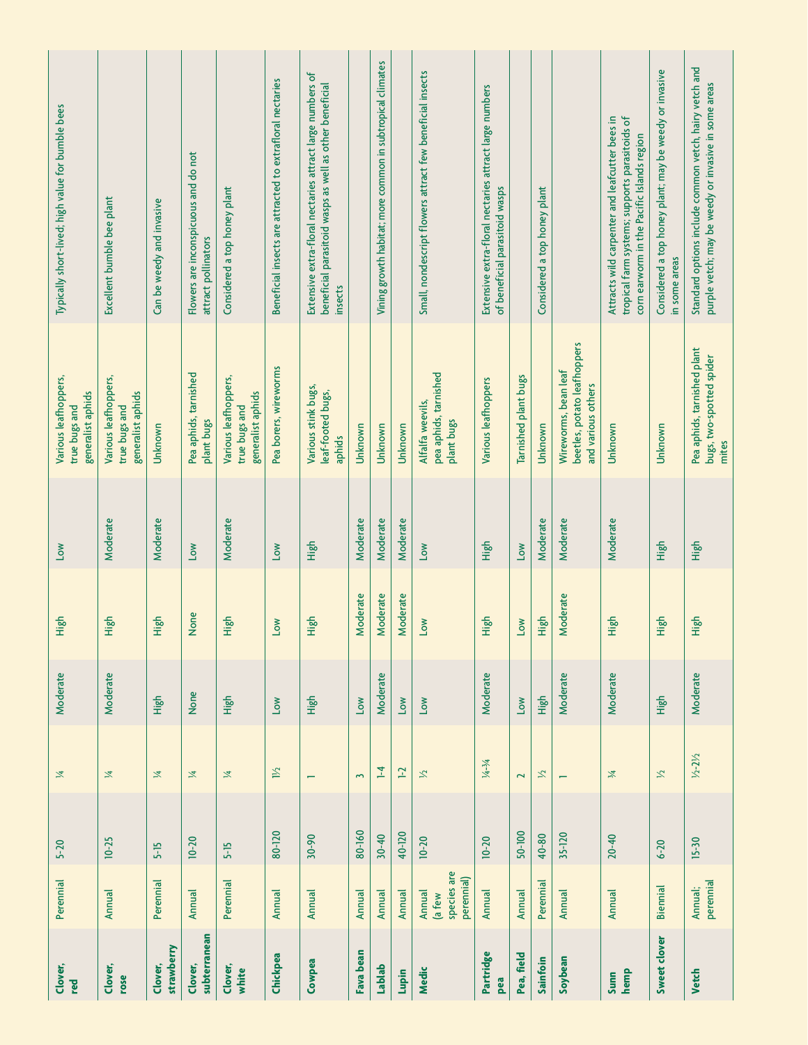| Clover,<br>red          | Perennial                                     | $5-20$    | $\mathbb{Z}$             | Moderate | High       | Low      | Various leafhoppers,<br>generalist aphids<br>true bugs and                | Typically short-lived; high value for bumble bees                                                                                              |
|-------------------------|-----------------------------------------------|-----------|--------------------------|----------|------------|----------|---------------------------------------------------------------------------|------------------------------------------------------------------------------------------------------------------------------------------------|
| Clover,<br>rose         | <b>Annual</b>                                 | $10 - 25$ | 区                        | Moderate | High       | Moderate | Various leafhoppers,<br>generalist aphids<br>true bugs and                | Excellent bumble bee plant                                                                                                                     |
| strawberry<br>Clover,   | Perennial                                     | $5-15$    | 区                        | High     | High       | Moderate | Unknown                                                                   | Can be weedy and invasive                                                                                                                      |
| subterranean<br>Clover, | <b>Annual</b>                                 | $10 - 20$ | 工                        | None     | None       | Low      | Pea aphids, tarnished<br>plant bugs                                       | Flowers are inconspicuous and do not<br>attract pollinators                                                                                    |
| Clover,<br>white        | Perennial                                     | $5-15$    | 区                        | High     | High       | Moderate | Various leafhoppers,<br>generalist aphids<br>true bugs and                | Considered a top honey plant                                                                                                                   |
| Chickpea                | Annual                                        | 80-120    | $1\frac{1}{2}$           | Low      | <b>No7</b> | Low      | Pea borers, wireworms                                                     | Beneficial insects are attracted to extrafloral nectaries                                                                                      |
| Cowpea                  | Annual                                        | $30 - 90$ | $\overline{\phantom{0}}$ | High     | High       | High     | Various stink bugs,<br>leaf-footed bugs,<br>aphids                        | Extensive extra-floral nectaries attract large numbers of<br>beneficial parasitoid wasps as well as other beneficial<br>insects                |
| Fava bean               | Annual                                        | 80-160    | $\sim$                   | Low      | Moderate   | Moderate | Unknown                                                                   |                                                                                                                                                |
| Lablab                  | <b>Annual</b>                                 | $30 - 40$ | $\overline{1}$           | Moderate | Moderate   | Moderate | Unknown                                                                   | Vining growth habitat; more common in subtropical climates                                                                                     |
| Lupin                   | <b>Annual</b>                                 | 40-120    | $\mathbf{F}$             | Low      | Moderate   | Moderate | Unknown                                                                   |                                                                                                                                                |
| Medic                   | species are<br>perennial)<br>Annual<br>(a few | $10 - 20$ | $\gtrsim$                | No7      | <b>No7</b> | No7      | pea aphids, tarnished<br>Alfalfa weevils,<br>plant bugs                   | Small, nondescript flowers attract few beneficial insects                                                                                      |
| Partridge<br>pea        | <b>Annual</b>                                 | $10 - 20$ | $1/4 - 3/4$              | Moderate | High       | High     | Various leafhoppers                                                       | Extensive extra-floral nectaries attract large numbers<br>of beneficial parasitoid wasps                                                       |
| Pea, field              | Annual                                        | 50-100    | $\overline{\mathbf{c}}$  | Low      | Low        | Low      | Tarnished plant bugs                                                      |                                                                                                                                                |
| Sainfoin                | Perennial                                     | 40-80     | $\approx$                | High     | High       | Moderate | Unknown                                                                   | Considered a top honey plant                                                                                                                   |
| Soybean                 | Annual                                        | 35-120    | $\overline{ }$           | Moderate | Moderate   | Moderate | beetles, potato leafhoppers<br>Wireworms, bean leaf<br>and various others |                                                                                                                                                |
| hemp<br>Sunn            | <b>Annual</b>                                 | $20 - 40$ | $\frac{1}{2}$            | Moderate | High       | Moderate | Unknown                                                                   | tropical farm systems; supports parasitoids of<br>Attracts wild carpenter and leafcutter bees in<br>corn earworm in the Pacific Islands region |
| Sweet clover            | <b>Biennial</b>                               | $6 - 20$  | $\mathbb{Z}$             | High     | High       | High     | Unknown                                                                   | Considered a top honey plant; may be weedy or invasive<br>in some areas                                                                        |
| <b>Vetch</b>            | perennial<br>Annual;                          | $15-30$   | $1/2 - 21/2$             | Moderate | High       | High     | Pea aphids, tarnished plant<br>bugs, two-spotted spider<br>mites          | Standard options include common vetch, hairy vetch and<br>purple vetch; may be weedy or invasive in some areas                                 |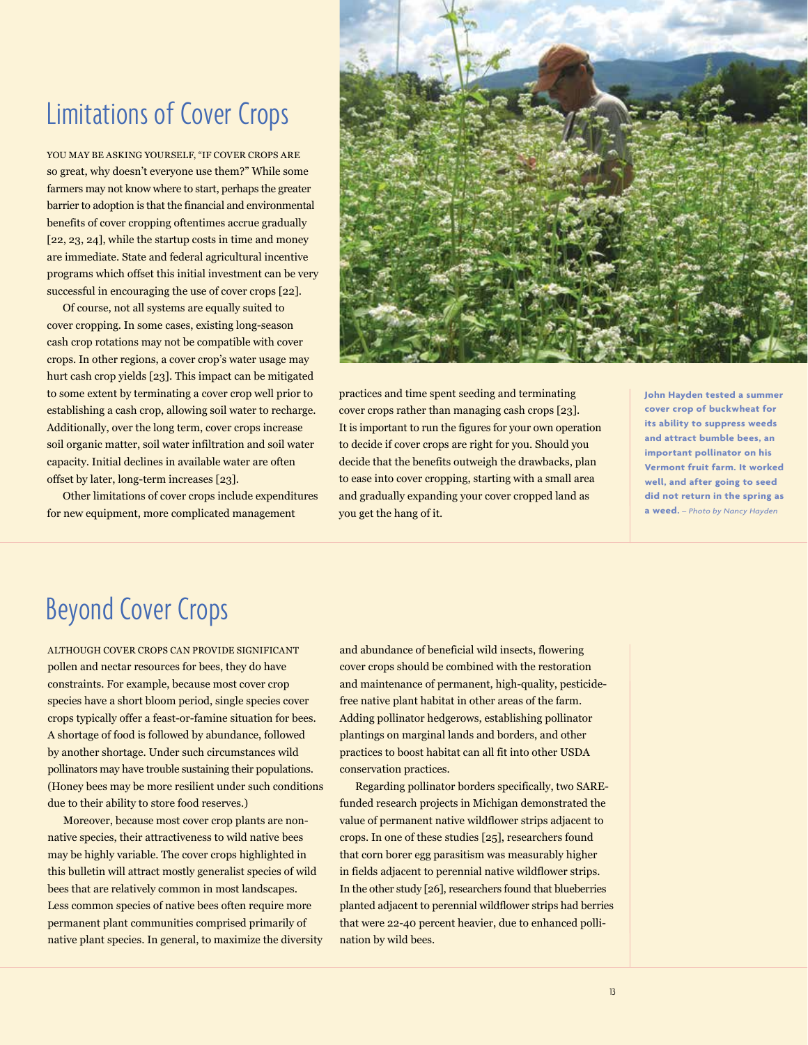# Limitations of Cover Crops

YOU MAY BE ASKING YOURSELF, "IF COVER CROPS ARE so great, why doesn't everyone use them?" While some farmers may not know where to start, perhaps the greater barrier to adoption is that the financial and environmental benefits of cover cropping oftentimes accrue gradually [22, 23, 24], while the startup costs in time and money are immediate. State and federal agricultural incentive programs which offset this initial investment can be very successful in encouraging the use of cover crops [22].

Of course, not all systems are equally suited to cover cropping. In some cases, existing long-season cash crop rotations may not be compatible with cover crops. In other regions, a cover crop's water usage may hurt cash crop yields [23]. This impact can be mitigated to some extent by terminating a cover crop well prior to establishing a cash crop, allowing soil water to recharge. Additionally, over the long term, cover crops increase soil organic matter, soil water infiltration and soil water capacity. Initial declines in available water are often offset by later, long-term increases [23].

Other limitations of cover crops include expenditures for new equipment, more complicated management



practices and time spent seeding and terminating cover crops rather than managing cash crops [23]. It is important to run the figures for your own operation to decide if cover crops are right for you. Should you decide that the benefits outweigh the drawbacks, plan to ease into cover cropping, starting with a small area and gradually expanding your cover cropped land as you get the hang of it.

**John Hayden tested a summer cover crop of buckwheat for its ability to suppress weeds and attract bumble bees, an important pollinator on his Vermont fruit farm. It worked well, and after going to seed did not return in the spring as a weed.** *– Photo by Nancy Hayden*

# Beyond Cover Crops

ALTHOUGH COVER CROPS CAN PROVIDE SIGNIFICANT pollen and nectar resources for bees, they do have constraints. For example, because most cover crop species have a short bloom period, single species cover crops typically offer a feast-or-famine situation for bees. A shortage of food is followed by abundance, followed by another shortage. Under such circumstances wild pollinators may have trouble sustaining their populations. (Honey bees may be more resilient under such conditions due to their ability to store food reserves.)

Moreover, because most cover crop plants are nonnative species, their attractiveness to wild native bees may be highly variable. The cover crops highlighted in this bulletin will attract mostly generalist species of wild bees that are relatively common in most landscapes. Less common species of native bees often require more permanent plant communities comprised primarily of native plant species. In general, to maximize the diversity and abundance of beneficial wild insects, flowering cover crops should be combined with the restoration and maintenance of permanent, high-quality, pesticidefree native plant habitat in other areas of the farm. Adding pollinator hedgerows, establishing pollinator plantings on marginal lands and borders, and other practices to boost habitat can all fit into other USDA conservation practices.

Regarding pollinator borders specifically, two SAREfunded research projects in Michigan demonstrated the value of permanent native wildflower strips adjacent to crops. In one of these studies [25], researchers found that corn borer egg parasitism was measurably higher in fields adjacent to perennial native wildflower strips. In the other study [26], researchers found that blueberries planted adjacent to perennial wildflower strips had berries that were 22-40 percent heavier, due to enhanced pollination by wild bees.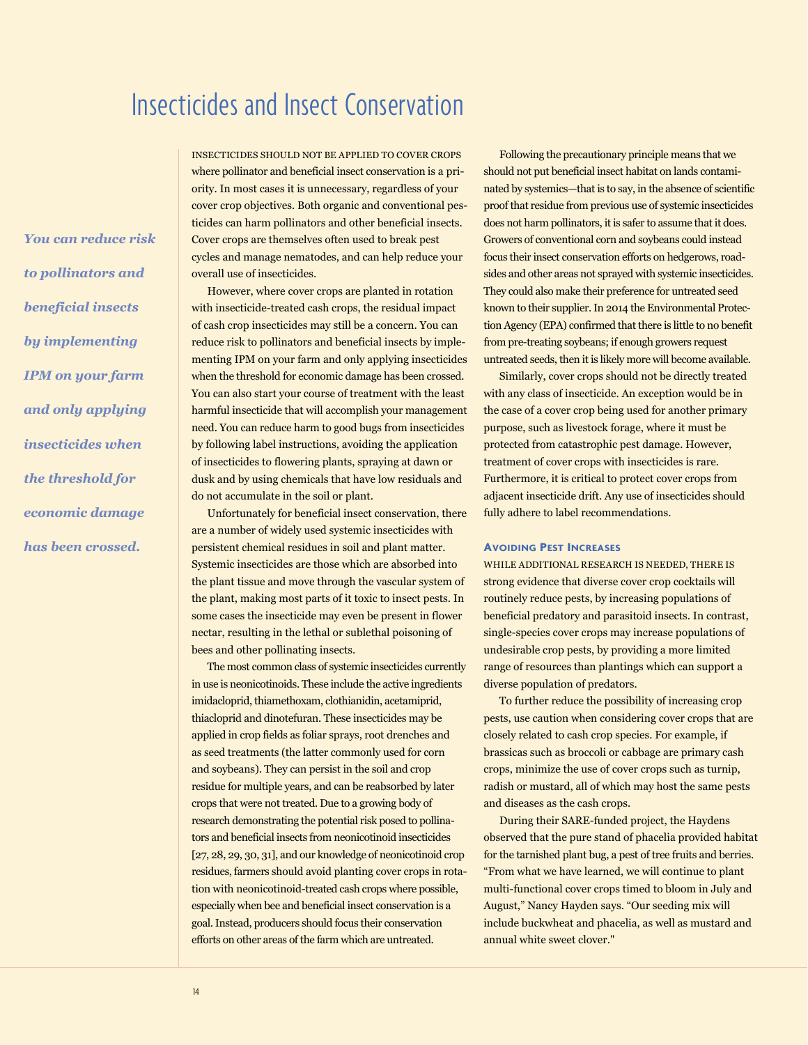# Insecticides and Insect Conservation

*You can reduce risk to pollinators and beneficial insects by implementing IPM on your farm and only applying insecticides when the threshold for economic damage has been crossed.*

INSECTICIDES SHOULD NOT BE APPLIED TO COVER CROPS where pollinator and beneficial insect conservation is a priority. In most cases it is unnecessary, regardless of your cover crop objectives. Both organic and conventional pesticides can harm pollinators and other beneficial insects. Cover crops are themselves often used to break pest cycles and manage nematodes, and can help reduce your overall use of insecticides.

However, where cover crops are planted in rotation with insecticide-treated cash crops, the residual impact of cash crop insecticides may still be a concern. You can reduce risk to pollinators and beneficial insects by implementing IPM on your farm and only applying insecticides when the threshold for economic damage has been crossed. You can also start your course of treatment with the least harmful insecticide that will accomplish your management need. You can reduce harm to good bugs from insecticides by following label instructions, avoiding the application of insecticides to flowering plants, spraying at dawn or dusk and by using chemicals that have low residuals and do not accumulate in the soil or plant.

Unfortunately for beneficial insect conservation, there are a number of widely used systemic insecticides with persistent chemical residues in soil and plant matter. Systemic insecticides are those which are absorbed into the plant tissue and move through the vascular system of the plant, making most parts of it toxic to insect pests. In some cases the insecticide may even be present in flower nectar, resulting in the lethal or sublethal poisoning of bees and other pollinating insects.

The most common class of systemic insecticides currently in use is neonicotinoids. These include the active ingredients imidacloprid, thiamethoxam, clothianidin, acetamiprid, thiacloprid and dinotefuran. These insecticides may be applied in crop fields as foliar sprays, root drenches and as seed treatments (the latter commonly used for corn and soybeans). They can persist in the soil and crop residue for multiple years, and can be reabsorbed by later crops that were not treated. Due to a growing body of research demonstrating the potential risk posed to pollinators and beneficial insects from neonicotinoid insecticides [27, 28, 29, 30, 31], and our knowledge of neonicotinoid crop residues, farmers should avoid planting cover crops in rotation with neonicotinoid-treated cash crops where possible, especially when bee and beneficial insect conservation is a goal. Instead, producers should focus their conservation efforts on other areas of the farm which are untreated.

Following the precautionary principle means that we should not put beneficial insect habitat on lands contaminated by systemics—that is to say, in the absence of scientific proof that residue from previous use of systemic insecticides does not harm pollinators, it is safer to assume that it does. Growers of conventional corn and soybeans could instead focus their insect conservation efforts on hedgerows, roadsides and other areas not sprayed with systemic insecticides. They could also make their preference for untreated seed known to their supplier. In 2014 the Environmental Protection Agency (EPA) confirmed that there is little to no benefit from pre-treating soybeans; if enough growers request untreated seeds, then it is likely more will become available.

Similarly, cover crops should not be directly treated with any class of insecticide. An exception would be in the case of a cover crop being used for another primary purpose, such as livestock forage, where it must be protected from catastrophic pest damage. However, treatment of cover crops with insecticides is rare. Furthermore, it is critical to protect cover crops from adjacent insecticide drift. Any use of insecticides should fully adhere to label recommendations.

### **Avoiding Pest Increases**

WHILE ADDITIONAL RESEARCH IS NEEDED, THERE IS strong evidence that diverse cover crop cocktails will routinely reduce pests, by increasing populations of beneficial predatory and parasitoid insects. In contrast, single-species cover crops may increase populations of undesirable crop pests, by providing a more limited range of resources than plantings which can support a diverse population of predators.

To further reduce the possibility of increasing crop pests, use caution when considering cover crops that are closely related to cash crop species. For example, if brassicas such as broccoli or cabbage are primary cash crops, minimize the use of cover crops such as turnip, radish or mustard, all of which may host the same pests and diseases as the cash crops.

During their SARE-funded project, the Haydens observed that the pure stand of phacelia provided habitat for the tarnished plant bug, a pest of tree fruits and berries. "From what we have learned, we will continue to plant multi-functional cover crops timed to bloom in July and August," Nancy Hayden says. "Our seeding mix will include buckwheat and phacelia, as well as mustard and annual white sweet clover."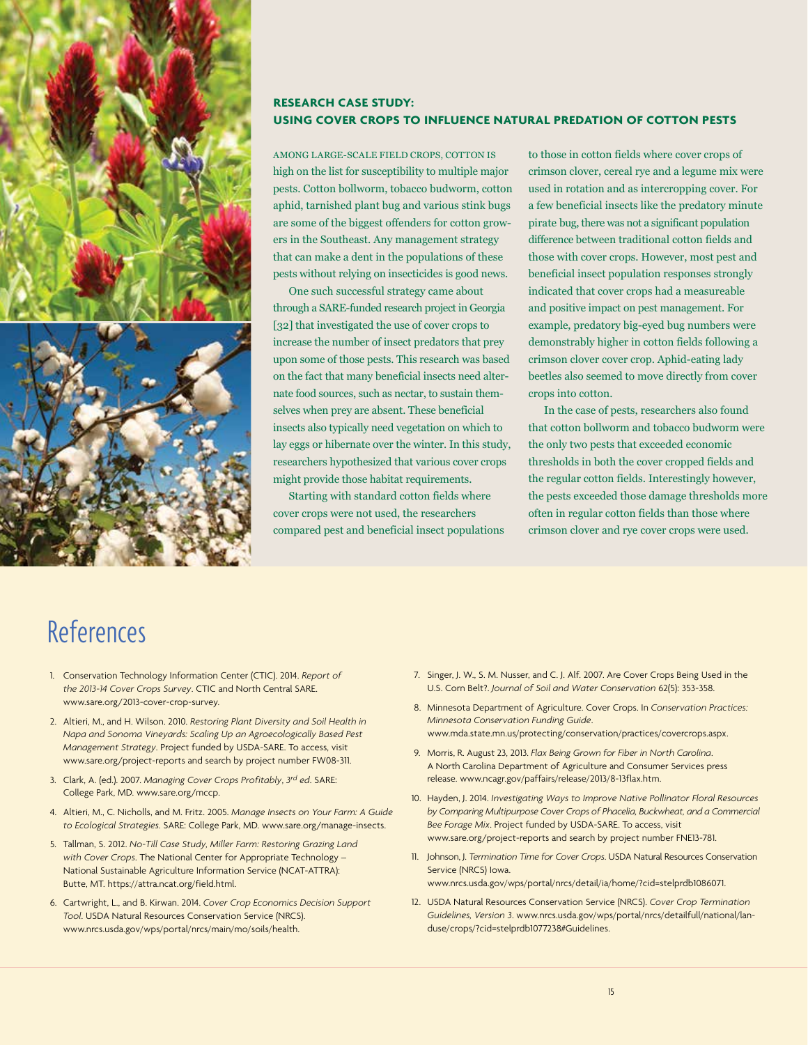

# **RESEARCH CASE STUDY: USING COVER CROPS TO INFLUENCE NATURAL PREDATION OF COTTON PESTS**

AMONG LARGE-SCALE FIELD CROPS, COTTON IS high on the list for susceptibility to multiple major pests. Cotton bollworm, tobacco budworm, cotton aphid, tarnished plant bug and various stink bugs are some of the biggest offenders for cotton growers in the Southeast. Any management strategy that can make a dent in the populations of these pests without relying on insecticides is good news.

One such successful strategy came about through a SARE-funded research project in Georgia [32] that investigated the use of cover crops to increase the number of insect predators that prey upon some of those pests. This research was based on the fact that many beneficial insects need alternate food sources, such as nectar, to sustain themselves when prey are absent. These beneficial insects also typically need vegetation on which to lay eggs or hibernate over the winter. In this study, researchers hypothesized that various cover crops might provide those habitat requirements.

Starting with standard cotton fields where cover crops were not used, the researchers compared pest and beneficial insect populations to those in cotton fields where cover crops of crimson clover, cereal rye and a legume mix were used in rotation and as intercropping cover. For a few beneficial insects like the predatory minute pirate bug, there was not a significant population difference between traditional cotton fields and those with cover crops. However, most pest and beneficial insect population responses strongly indicated that cover crops had a measureable and positive impact on pest management. For example, predatory big-eyed bug numbers were demonstrably higher in cotton fields following a crimson clover cover crop. Aphid-eating lady beetles also seemed to move directly from cover crops into cotton.

In the case of pests, researchers also found that cotton bollworm and tobacco budworm were the only two pests that exceeded economic thresholds in both the cover cropped fields and the regular cotton fields. Interestingly however, the pests exceeded those damage thresholds more often in regular cotton fields than those where crimson clover and rye cover crops were used.

# References

- 1. Conservation Technology Information Center (CTIC). 2014. *Report of the 2013-14 Cover Crops Survey*. CTIC and North Central SARE. [www.sare.org/](www.sare.org)2013-cover-crop-survey.
- 2. Altieri, M., and H. Wilson. 2010. *Restoring Plant Diversity and Soil Health in Napa and Sonoma Vineyards: Scaling Up an Agroecologically Based Pest Management Strategy*. Project funded by USDA-SARE. To access, visit [www.sare.org/project](www.sare.org/project-reports)-reports and search by project number FW08-311.
- 3. Clark, A. (ed.). 2007. *Managing Cover Crops Profitably*, *3rd ed*. SARE: College Park, MD. <www.sare.org/mccp>.
- 4. Altieri, M., C. Nicholls, and M. Fritz. 2005. *Manage Insects on Your Farm: A Guide to Ecological Strategies.* SARE: College Park, MD. [www.sare.org/manage](www.sare.org/manage-insects)-insects.
- 5. Tallman, S. 2012. *No-Till Case Study, Miller Farm: Restoring Grazing Land with Cover Crops*. The National Center for Appropriate Technology – National Sustainable Agriculture Information Service (NCAT-ATTRA): Butte, MT. [https://attra.ncat.org/field.html.](https://attra.ncat.org/field.html)
- 6. Cartwright, L., and B. Kirwan. 2014. *Cover Crop Economics Decision Support Tool*. USDA Natural Resources Conservation Service (NRCS). [www.nrcs.usda.gov/wps/portal/nrcs/main/mo/soils/health.](www.nrcs.usda.gov/wps/portal/nrcs/main/mo/soils/health)
- 7. Singer, J. W., S. M. Nusser, and C. J. Alf. 2007. Are Cover Crops Being Used in the U.S. Corn Belt?. *Journal of Soil and Water Conservation* 62(5): 353-358.
- 8. Minnesota Department of Agriculture. Cover Crops. In *Conservation Practices: Minnesota Conservation Funding Guide*. [www.mda.state.mn.us/protecting/conservation/practices/covercrops.aspx.](www.mda.state.mn.us/protecting/conservation/practices/covercrops.aspx)
- 9. Morris, R. August 23, 2013. *Flax Being Grown for Fiber in North Carolina*. A North Carolina Department of Agriculture and Consumer Services press release. [www.ncagr.gov/paffairs/release/2013/8-13flax.htm.](www.ncagr.gov/paffairs/release/2013/8-13flax.htm)
- 10. Hayden, J. 2014. *Investigating Ways to Improve Native Pollinator Floral Resources by Comparing Multipurpose Cover Crops of Phacelia, Buckwheat, and a Commercial Bee Forage Mix*. Project funded by USDA-SARE. To access, visit [www.sare.org/project](www.sare.org/project-reports)-reports and search by project number FNE13-781.
- 11. Johnson, J. *Termination Time for Cover Crops*. USDA Natural Resources Conservation Service (NRCS) Iowa. [www.nrcs.usda.gov/wps/portal/nrcs/detail/ia/home/](www.nrcs.usda.gov/wps/portal/nrcs/detail/ia/home)?cid=stelprdb1086071.
- 12. USDA Natural Resources Conservation Service (NRCS). *Cover Crop Termination Guidelines, Version 3*. [www.nrcs.usda.gov/wps/portal/nrcs/detailfull/national/lan](http://www.nrcs.usda.gov/wps/portal/nrcs/detailfull/national/landuse/crops/?cid=stelprdb1077238#Guidelines)[duse/crops/?cid=stelprdb1077238#Guidelines](http://www.nrcs.usda.gov/wps/portal/nrcs/detailfull/national/landuse/crops/?cid=stelprdb1077238#Guidelines).